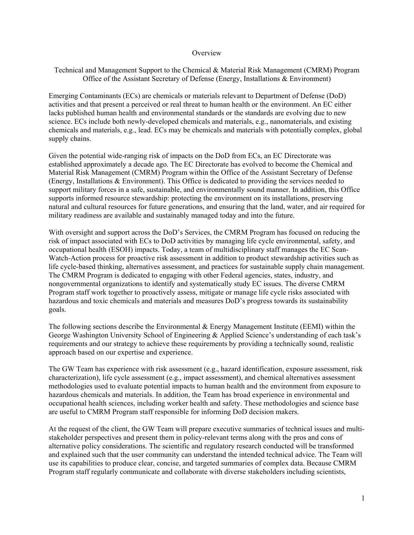## **Overview**

## Technical and Management Support to the Chemical & Material Risk Management (CMRM) Program Office of the Assistant Secretary of Defense (Energy, Installations & Environment)

Emerging Contaminants (ECs) are chemicals or materials relevant to Department of Defense (DoD) activities and that present a perceived or real threat to human health or the environment. An EC either lacks published human health and environmental standards or the standards are evolving due to new science. ECs include both newly-developed chemicals and materials, e.g., nanomaterials, and existing chemicals and materials, e.g., lead. ECs may be chemicals and materials with potentially complex, global supply chains.

Given the potential wide-ranging risk of impacts on the DoD from ECs, an EC Directorate was established approximately a decade ago. The EC Directorate has evolved to become the Chemical and Material Risk Management (CMRM) Program within the Office of the Assistant Secretary of Defense (Energy, Installations & Environment). This Office is dedicated to providing the services needed to support military forces in a safe, sustainable, and environmentally sound manner. In addition, this Office supports informed resource stewardship: protecting the environment on its installations, preserving natural and cultural resources for future generations, and ensuring that the land, water, and air required for military readiness are available and sustainably managed today and into the future.

With oversight and support across the DoD's Services, the CMRM Program has focused on reducing the risk of impact associated with ECs to DoD activities by managing life cycle environmental, safety, and occupational health (ESOH) impacts. Today, a team of multidisciplinary staff manages the EC Scan-Watch-Action process for proactive risk assessment in addition to product stewardship activities such as life cycle-based thinking, alternatives assessment, and practices for sustainable supply chain management. The CMRM Program is dedicated to engaging with other Federal agencies, states, industry, and nongovernmental organizations to identify and systematically study EC issues. The diverse CMRM Program staff work together to proactively assess, mitigate or manage life cycle risks associated with hazardous and toxic chemicals and materials and measures DoD's progress towards its sustainability goals.

The following sections describe the Environmental & Energy Management Institute (EEMI) within the George Washington University School of Engineering & Applied Science's understanding of each task's requirements and our strategy to achieve these requirements by providing a technically sound, realistic approach based on our expertise and experience.

The GW Team has experience with risk assessment (e.g., hazard identification, exposure assessment, risk characterization), life cycle assessment (e.g., impact assessment), and chemical alternatives assessment methodologies used to evaluate potential impacts to human health and the environment from exposure to hazardous chemicals and materials. In addition, the Team has broad experience in environmental and occupational health sciences, including worker health and safety. These methodologies and science base are useful to CMRM Program staff responsible for informing DoD decision makers.

At the request of the client, the GW Team will prepare executive summaries of technical issues and multistakeholder perspectives and present them in policy-relevant terms along with the pros and cons of alternative policy considerations. The scientific and regulatory research conducted will be transformed and explained such that the user community can understand the intended technical advice. The Team will use its capabilities to produce clear, concise, and targeted summaries of complex data. Because CMRM Program staff regularly communicate and collaborate with diverse stakeholders including scientists,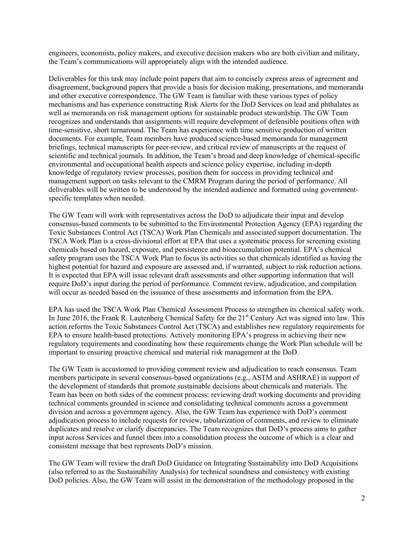engineers, economists, policy makers, and executive decision makers who are both civilian and military, the Team's communications will appropriately align with the intended audience.

Deliverables for this task may include point papers that aim to concisely express areas of agreement and disagreement, background papers that provide a basis for decision making, presentations, and memoranda and other executive correspondence. The GW Team is familiar with these various types of policy mechanisms and has experience constructing Risk Alerts for the DoD Services on lead and phthalates as well as memoranda on risk management options for sustainable product stewardship. The GW Team recognizes and understands that assignments will require development of defensible positions often with time-sensitive, short turnaround. The Team has experience with time sensitive production of written documents. For example, Team members have produced science-based memoranda for management briefings, technical manuscripts for peer-review, and critical review of manuscripts at the request of scientific and technical journals. In addition, the Team's broad and deep knowledge of chemical-specific environmental and occupational health aspects and science policy expertise, including in-depth knowledge of regulatory review processes, position them for success in providing technical and management support on tasks relevant to the CMRM Program during the period of performance. All deliverables will be written to be understood by the intended audience and formatted using governmentspecific templates when needed.

The GW Team will work with representatives across the DoD to adjudicate their input and develop consensus-based comments to be submitted to the Environmental Protection Agency (EPA) regarding the Toxic Substances Control Act (TSCA) Work Plan Chemicals and associated support documentation. The TSCA Work Plan is a cross-divisional effort at EPA that uses a systematic process for screening existing chemicals based on hazard, exposure, and persistence and bioaccumulation potential. EPA's chemical safety program uses the TSCA Work Plan to focus its activities so that chemicals identified as having the highest potential for hazard and exposure are assessed and, if warranted, subject to risk reduction actions. It is expected that EPA will issue relevant draft assessments and other supporting information that will require DoD's input during the period of performance. Comment review, adjudication, and compilation will occur as needed based on the issuance of these assessments and information from the EPA.

EPA has used the TSCA Work Plan Chemical Assessment Process to strengthen its chemical safety work. In June 2016, the Frank R. Lautenberg Chemical Safety for the 21<sup>st</sup> Century Act was signed into law. This action reforms the Toxic Substances Control Act (TSCA) and establishes new regulatory requirements for EPA to ensure health-based protections. Actively monitoring EPA's progress in achieving their new regulatory requirements and coordinating how these requirements change the Work Plan schedule will be important to ensuring proactive chemical and material risk management at the DoD.

The GW Team is accustomed to providing comment review and adjudication to reach consensus. Team members participate in several consensus-based organizations (e.g., ASTM and ASHRAE) in support of the development of standards that promote sustainable decisions about chemicals and materials. The Team has been on both sides of the comment process: reviewing draft working documents and providing technical comments grounded in science and consolidating technical comments across a government division and across a government agency. Also, the GW Team has experience with DoD's comment adjudication process to include requests for review, tabularization of comments, and review to eliminate duplicates and resolve or clarify discrepancies. The Team recognizes that DoD's process aims to gather input across Services and funnel them into a consolidation process the outcome of which is a clear and consistent message that best represents DoD's mission.

The GW Team will review the draft DoD Guidance on Integrating Sustainability into DoD Acquisitions (also referred to as the Sustainability Analysis) for technical soundness and consistency with existing DoD policies. Also, the GW Team will assist in the demonstration of the methodology proposed in the